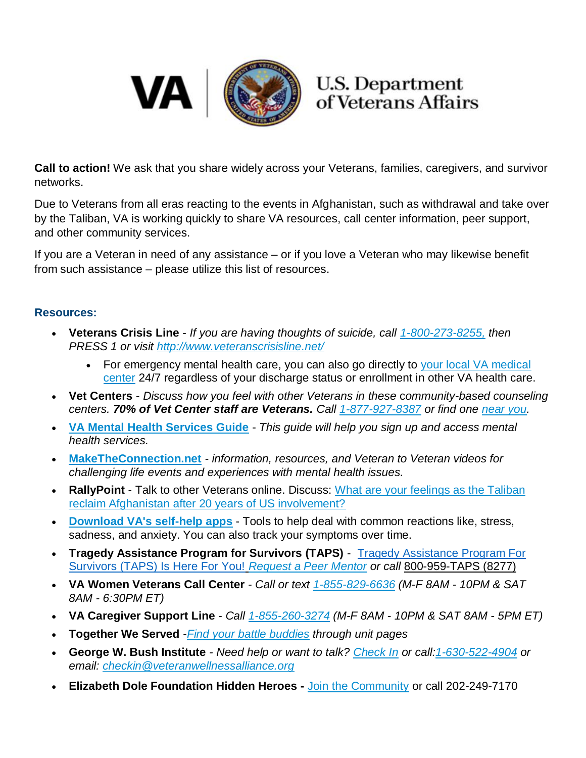

## **U.S. Department** of Veterans Affairs

**Call to action!** We ask that you share widely across your Veterans, families, caregivers, and survivor networks.

Due to Veterans from all eras reacting to the events in Afghanistan, such as withdrawal and take over by the Taliban, VA is working quickly to share VA resources, call center information, peer support, and other community services.

If you are a Veteran in need of any assistance – or if you love a Veteran who may likewise benefit from such assistance – please utilize this list of resources.

## **Resources:**

- **Veterans Crisis Line** *If you are having thoughts of suicide, call [1-800-273-8255,](tel:18002738255) then PRESS 1 or visit <http://www.veteranscrisisline.net/>*
	- For emergency mental health care, you can also go directly to your local VA medical [center](https://www.va.gov/find-locations/) 24/7 regardless of your discharge status or enrollment in other VA health care.
- **Vet Centers** *Discuss how you feel with other Veterans in these* c*ommunity-based counseling centers. 70% of Vet Center staff are Veterans. Call [1-877-927-8387](tel:18779278387) or find one [near you.](https://www.va.gov/find-locations/)*
- **[VA Mental Health Services Guide](https://www.va.gov/files/2020-11/mental-health-quick-start-guide.pdf)** *This guide will help you sign up and access mental health services.*
- **[MakeTheConnection.net](https://www.maketheconnection.net/)** *- information, resources, and Veteran to Veteran videos for challenging life events and experiences with mental health issues.*
- **RallyPoint** Talk to other Veterans online. Discuss: [What are your feelings as the Taliban](https://www.rallypoint.com/answers/what-are-your-feelings-as-the-taliban-reclaim-afghanistan-after-20-years-of-us-involvement)  [reclaim Afghanistan after 20 years of US involvement?](https://www.rallypoint.com/answers/what-are-your-feelings-as-the-taliban-reclaim-afghanistan-after-20-years-of-us-involvement)
- **[Download VA's self-help apps](https://www.ptsd.va.gov/appvid/mobile/)** Tools to help deal with common reactions like, stress, sadness, and anxiety. You can also track your symptoms over time.
- **Tragedy Assistance Program for Survivors (TAPS)** [Tragedy Assistance Program For](https://www.taps.org/requestapeermentor)  [Survivors \(TAPS\) Is Here For You!](https://www.taps.org/requestapeermentor) *Request a Peer Mentor or call* [800-959-TAPS \(8277\)](tel:+12025888277)
- **VA Women Veterans Call Center** *- Call or text [1-855-829-6636](tel:18558296636) (M-F 8AM - 10PM & SAT 8AM - 6:30PM ET)*
- **VA Caregiver Support Line** *Call [1-855-260-3274](tel:18552603274) (M-F 8AM - 10PM & SAT 8AM - 5PM ET)*
- **Together We Served** -*[Find your battle](https://blogs.va.gov/VAntage/73552/together-served-provides-virtual-base-connecting-veterans/) [buddies](https://blogs.va.gov/VAntage/73552/together-served-provides-virtual-base-connecting-veterans/) through unit pages*
- **George W. Bush Institute** *- Need help or want to talk? [Check In](https://www.bushcenter.org/veteran-wellness/clinical-care.html) or call[:1-630-522-4904](tel:16305224904) or email: [checkin@veteranwellnessalliance.org](mailto:checkin@veteranwellnessalliance.org)*
- **Elizabeth Dole Foundation Hidden Heroes -** [Join the Community](https://hiddenheroes.org/join-our-community/?type=story&filters=%5B%5B%22type%3Astory%22%5D%2C%5B%22featured_areas%3AJoin%20Our%20Community%22%5D%2C%5B%22featured_areas%3AJoin%20Our%20Community%22%5D%5D) or call 202-249-7170